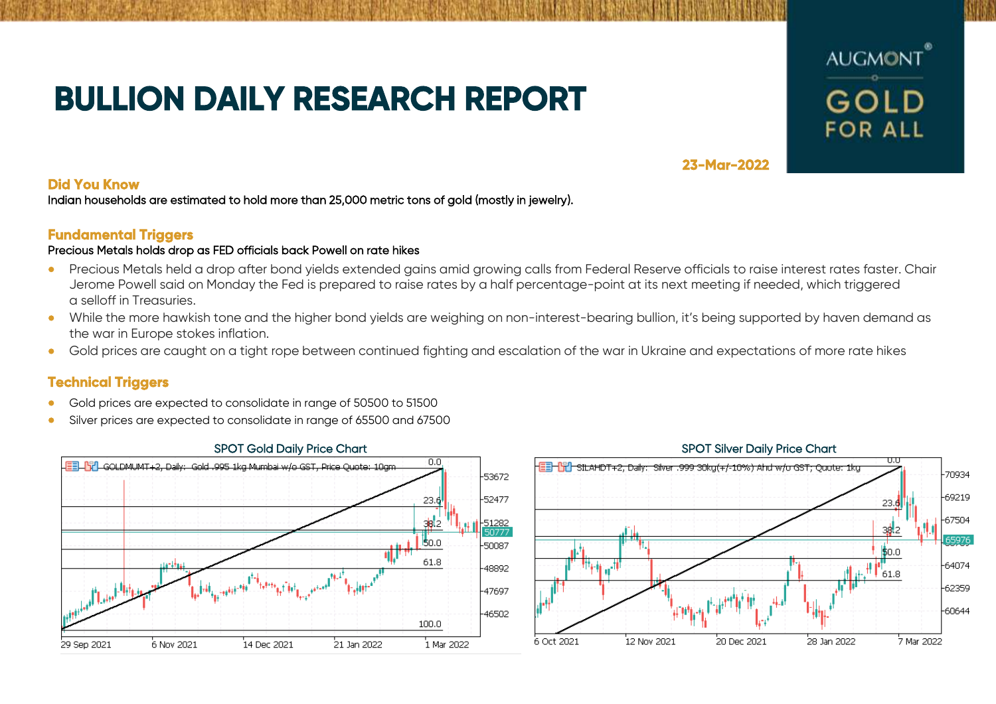# **BULLION DAILY RESEARCH REPORT**



## **23-Mar-2022**

### **Did You Know**

Indian households are estimated to hold more than 25,000 metric tons of gold (mostly in jewelry).

## **Fundamental Triggers**

### Precious Metals holds drop as FED officials back Powell on rate hikes

- Precious Metals held a drop after bond vields extended gains amid growing calls from Federal Reserve officials to raise interest rates faster. Chair Jerome Powell said on Monday the Fed is prepared to raise rates by a half percentage-point at its next meeting if needed, which triggered a selloff in Treasuries.
- While the more hawkish tone and the higher bond yields are weighing on non-interest-bearing bullion, it's being supported by haven demand as the war in Europe stokes inflation.
- Gold prices are caught on a tight rope between continued fighting and escalation of the war in Ukraine and expectations of more rate hikes

## **Technical Triggers**

- Gold prices are expected to consolidate in range of 50500 to 51500
- Silver prices are expected to consolidate in range of 65500 and 67500